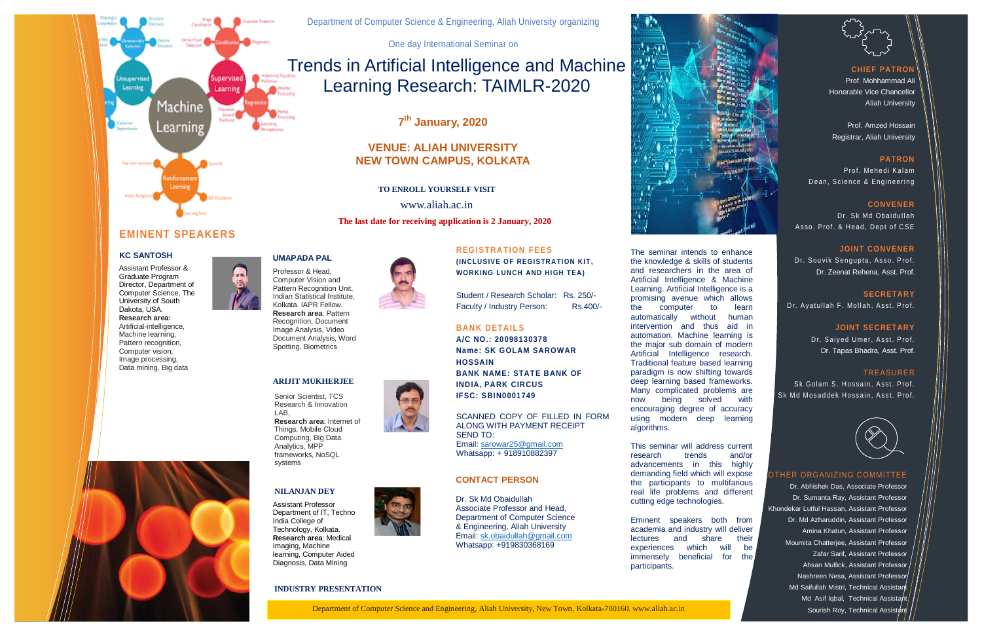The seminar intends to enhance

#### **CHIEF PATROI**



**(INCLUSIVE OF REGISTRATION KIT, WORKING LUNCH AND HIGH TEA)**

Student / Research Scholar: Rs. 250/- Faculty / Industry Person: Rs.400/-

This seminar will address current research trends and/or advancements in this highly demanding field which will expose the participants to multifarious real life problems and different cutting edge technologies.

Eminent speakers both from academia and industry will deliver lectures and share their experiences which will be immensely beneficial for the participants.



Dr. Souvik Sengupta, Asso. Prof. Dr. Zeenat Rehena, Asst. Prof.

**SECRETARY**  Dr. Ayatullah F. Mollah, Asst. Prof.

# Trends in Artificial Intelligence and Machine Learning Research: TAIMLR-2020

Dr. Saiyed Umer, Asst. Prof. Dr. Tapas Bhadra, Asst. Prof.

## **EMINENT SPEAKERS**

#### **KC SANTOSH**

Dr. Abhishek Das, Associate Professor Dr. Sumanta Ray, Assistant Professor Khondekar Lutful Hassan, Assistant Professor Dr. Md Azharuddin, Assistant Professor Amina Khatun, Assistant Professor Moumita Chatterjee, Assistant Professor Zafar Sarif, Assistant Professor Ahsan Mullick, Assistant Professor Nashreen Nesa, Assistant Professor Md Saifullah Mistri, Technical Assistan Md Asif Iqbal, Technical Assistant



Department of Computer Science & Engineering, Aliah University organizing

One day International Seminar on

### **REGISTRATION FEES**

#### **BANK DETAILS A/C NO.: 20098130378**

**Name: SK GOLAM SAROWAR HOSSAIN BANK NAME: STATE BANK OF INDIA, PARK CIRCUS IFSC: SBIN0001749**



SCANNED COPY OF FILLED IN FORM ALONG WITH PAYMENT RECEIPT SEND TO: Email: [sarowar25@gmail.com](mailto:SAROWAR25@GMAIL.COM) Whatsapp: + 918910882397

Prof. Mohhammad Ali Honorable Vice Chancellor Aliah University

Prof. Amzed Hossain Registrar, Aliah University

#### **PATRON**

Prof. Mehedi Kalam D ean, Science & Engineering

#### **CONVENER**

Dr. Sk Md Obaidullah Asso. Prof. & Head. Dept of CSE

#### **JOINT CONVENER**

#### **JOINT SECRETARY**

#### TREASURER

Sk Golam S. Hossain, Asst. Prof. Sk Md Mosaddek Hossain, Asst. Prof.



 Director, Department of Assistant Professor & Graduate Program Computer Science, The University of South Dakota, USA. **Research area:** Artificial-intelligence, Machine learning, Pattern recognition, Computer vision, Image processing, Data mining, Big data



#### OTHER ORGANIZING COMMITTEE



**7 th January, 2020**

### **VENUE: ALIAH UNIVERSITY NEW TOWN CAMPUS, KOLKATA**

**UMAPADA PAL**

Professor & Head, Computer Vision and Pattern Recognition Unit, Indian Statistical Institute, Kolkata. IAPR Fellow. **Research area**: Pattern Recognition, Document Image Analysis, Video Document Analysis, Word Spotting, Biometrics

#### **ARIJIT MUKHERJEE**

Senior Scientist, TCS Research & Innovation LAB, **Research area**: Internet of Things, Mobile Cloud Computing, Big Data Analytics, MPP frameworks, NoSQL systems

#### **NILANJAN DEY**

Assistant Professor Department of IT, Techno India College of Technology, Kolkata. **Research area**: Medical Imaging, Machine learning, Computer Aided Diagnosis, Data Mining



**TO ENROLL YOURSELF VISIT**

www.aliah.ac.in

#### **CONTACT PERSON**

Dr. Sk Md Obaidullah Associate Professor and Head, Department of Computer Science & Engineering, Aliah University Email[: sk.obaidullah@gmail.com](mailto:sk.obaidullah@gmail.com) Whatsapp: +919830368169

**The last date for receiving application is 2 January, 2020**

#### **INDUSTRY PRESENTATION**